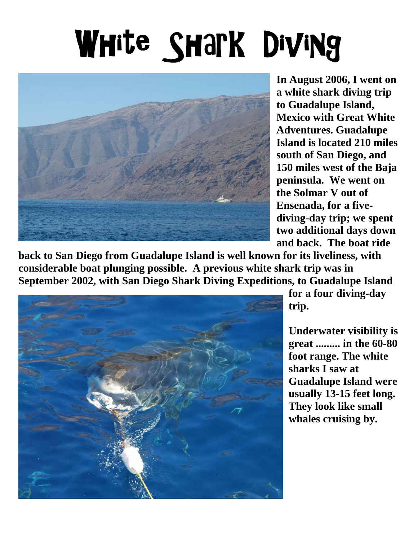## White Shark Diving



**In August 2006, I went on a white shark diving trip to Guadalupe Island, Mexico with Great White Adventures. Guadalupe Island is located 210 miles south of San Diego, and 150 miles west of the Baja peninsula. We went on the Solmar V out of Ensenada, for a fivediving-day trip; we spent two additional days down and back. The boat ride** 

**back to San Diego from Guadalupe Island is well known for its liveliness, with considerable boat plunging possible. A previous white shark trip was in September 2002, with San Diego Shark Diving Expeditions, to Guadalupe Island** 



**for a four diving-day trip.** 

**Underwater visibility is great ......... in the 60-80 foot range. The white sharks I saw at Guadalupe Island were usually 13-15 feet long. They look like small whales cruising by.**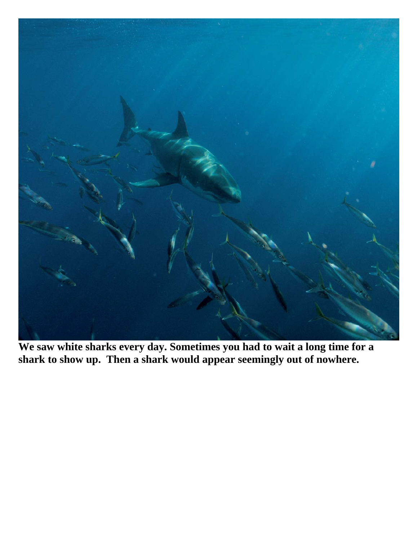

**We saw white sharks every day. Sometimes you had to wait a long time for a shark to show up. Then a shark would appear seemingly out of nowhere.**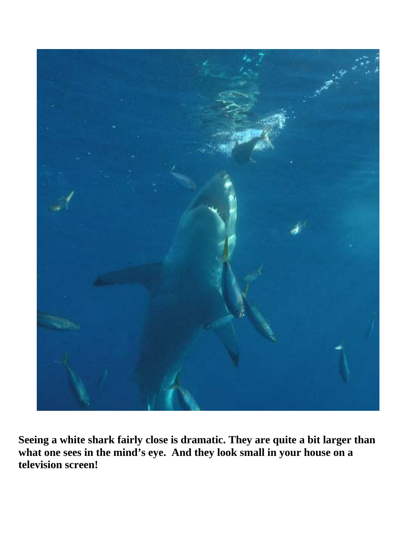

**Seeing a white shark fairly close is dramatic. They are quite a bit larger than**  what one sees in the mind's eye. And they look small in your house on a **television screen!**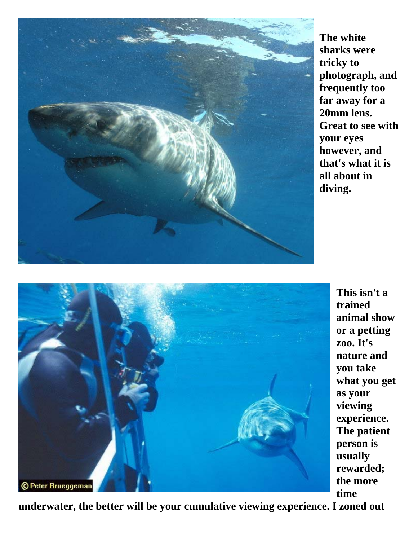

**The white sharks were tricky to photograph, and frequently too far away for a 20mm lens. Great to see with your eyes however, and that's what it is all about in diving.** 



**This isn't a trained animal show or a petting zoo. It's nature and you take what you get as your viewing experience. The patient person is usually rewarded; the more time** 

**underwater, the better will be your cumulative viewing experience. I zoned out**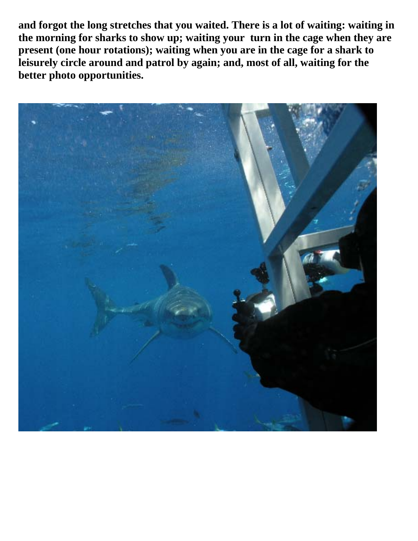**and forgot the long stretches that you waited. There is a lot of waiting: waiting in the morning for sharks to show up; waiting your turn in the cage when they are**  present (one hour rotations); waiting when you are in the cage for a shark to **leisurely circle around and patrol by again; and, most of all, waiting for the better photo opportunities.** 

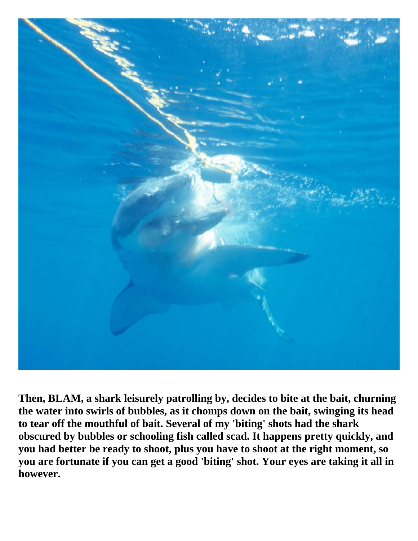

**Then, BLAM, a shark leisurely patrolling by, decides to bite at the bait, churning the water into swirls of bubbles, as it chomps down on the bait, swinging its head to tear off the mouthful of bait. Several of my 'biting' shots had the shark obscured by bubbles or schooling fish called scad. It happens pretty quickly, and you had better be ready to shoot, plus you have to shoot at the right moment, so you are fortunate if you can get a good 'biting' shot. Your eyes are taking it all in however.**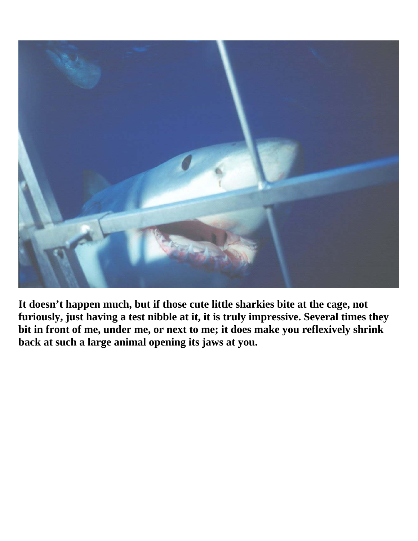

**It doesn't happen much, but if those cute little sharkies bite at the cage, not furiously, just having a test nibble at it, it is truly impressive. Several times they bit in front of me, under me, or next to me; it does make you reflexively shrink back at such a large animal opening its jaws at you.**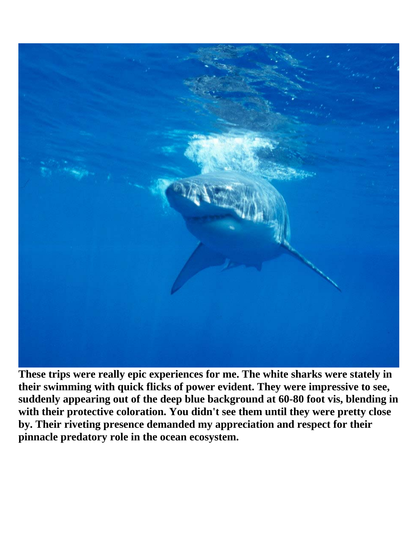

**These trips were really epic experiences for me. The white sharks were stately in their swimming with quick flicks of power evident. They were impressive to see, suddenly appearing out of the deep blue background at 60-80 foot vis, blending in with their protective coloration. You didn't see them until they were pretty close by. Their riveting presence demanded my appreciation and respect for their pinnacle predatory role in the ocean ecosystem.**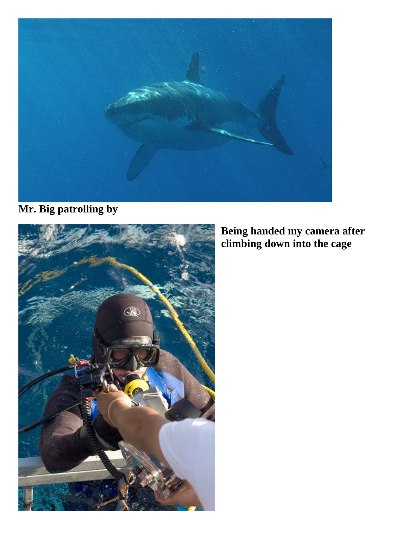

**Mr. Big patrolling by** 



## **Being handed my camera after climbing down into the cage**